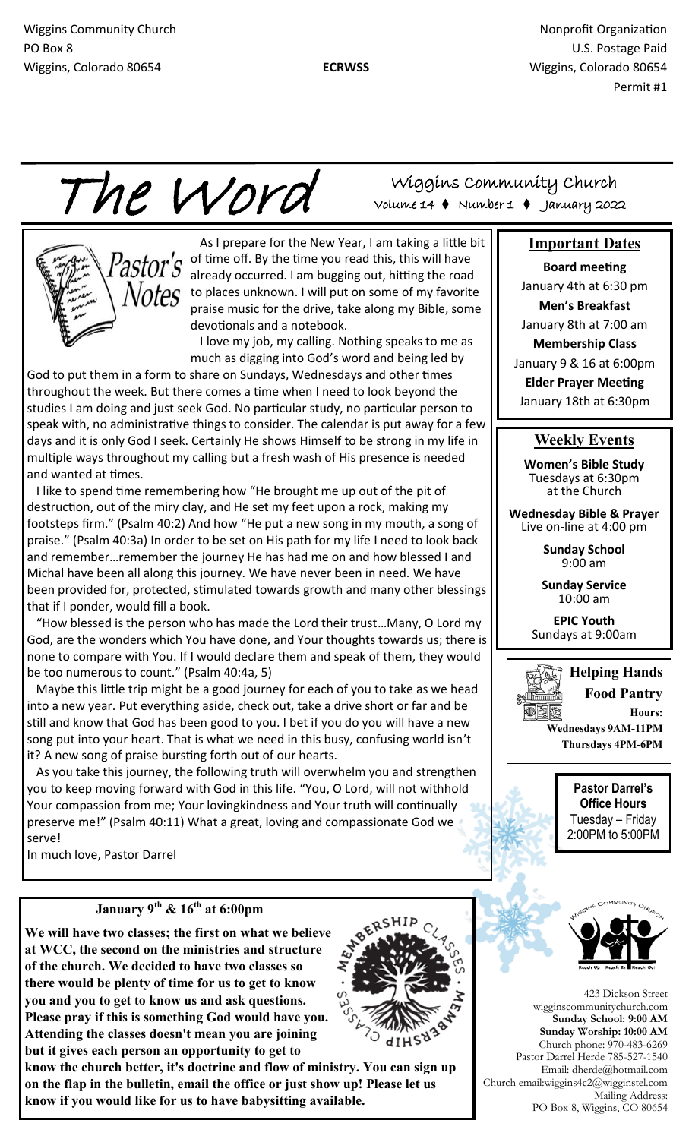Wiggins Community Church Nonprofit Organization Nonprofit Organization PO Box 8 U.S. Postage Paid Wiggins, Colorado 80654 **ECRWSS** Wiggins, Colorado 80654 Permit #1

The Word

 As I prepare for the New Year, I am taking a little bit of time off. By the time you read this, this will have already occurred. I am bugging out, hitting the road  $0$ to places unknown. I will put on some of my favorite praise music for the drive, take along my Bible, some devotionals and a notebook.

 I love my job, my calling. Nothing speaks to me as much as digging into God's word and being led by

God to put them in a form to share on Sundays, Wednesdays and other times throughout the week. But there comes a time when I need to look beyond the studies I am doing and just seek God. No particular study, no particular person to speak with, no administrative things to consider. The calendar is put away for a few days and it is only God I seek. Certainly He shows Himself to be strong in my life in multiple ways throughout my calling but a fresh wash of His presence is needed and wanted at times.

 I like to spend time remembering how "He brought me up out of the pit of destruction, out of the miry clay, and He set my feet upon a rock, making my footsteps firm." (Psalm 40:2) And how "He put a new song in my mouth, a song of praise." (Psalm 40:3a) In order to be set on His path for my life I need to look back and remember…remember the journey He has had me on and how blessed I and Michal have been all along this journey. We have never been in need. We have been provided for, protected, stimulated towards growth and many other blessings that if I ponder, would fill a book.

 "How blessed is the person who has made the Lord their trust…Many, O Lord my God, are the wonders which You have done, and Your thoughts towards us; there is none to compare with You. If I would declare them and speak of them, they would be too numerous to count." (Psalm 40:4a, 5)

 Maybe this little trip might be a good journey for each of you to take as we head into a new year. Put everything aside, check out, take a drive short or far and be still and know that God has been good to you. I bet if you do you will have a new song put into your heart. That is what we need in this busy, confusing world isn't it? A new song of praise bursting forth out of our hearts.

 As you take this journey, the following truth will overwhelm you and strengthen you to keep moving forward with God in this life. "You, O Lord, will not withhold Your compassion from me; Your lovingkindness and Your truth will continually preserve me!" (Psalm 40:11) What a great, loving and compassionate God we serve!

In much love, Pastor Darrel

## **January 9th & 16th at 6:00pm**

**We will have two classes; the first on what we believe at WCC, the second on the ministries and structure of the church. We decided to have two classes so there would be plenty of time for us to get to know you and you to get to know us and ask questions. Please pray if this is something God would have you. Attending the classes doesn't mean you are joining but it gives each person an opportunity to get to** 

**know the church better, it's doctrine and flow of ministry. You can sign up on the flap in the bulletin, email the office or just show up! Please let us know if you would like for us to have babysitting available.** 

Wiggins Community Church Volume 14 Number 1 January 2022

## **Important Dates**

**Board meeting**  January 4th at 6:30 pm **Men's Breakfast** January 8th at 7:00 am **Membership Class** January 9 & 16 at 6:00pm **Elder Prayer Meeting** January 18th at 6:30pm

## **Weekly Events**

**Women's Bible Study**  Tuesdays at 6:30pm at the Church

**Wednesday Bible & Prayer**  Live on-line at 4:00 pm

> **Sunday School** 9:00 am

**Sunday Service** 10:00 am

**EPIC Youth** Sundays at 9:00am



**Pastor Darrel's Office Hours** Tuesday – Friday 2:00PM to 5:00PM



423 Dickson Street wigginscommunitychurch.com **Sunday School: 9:00 AM Sunday Worship: 10:00 AM**  Church phone: 970-483-6269 Pastor Darrel Herde 785-527-1540 Email: dherde@hotmail.com Church email:wiggins4c2@wigginstel.com Mailing Address: PO Box 8, Wiggins, CO 80654